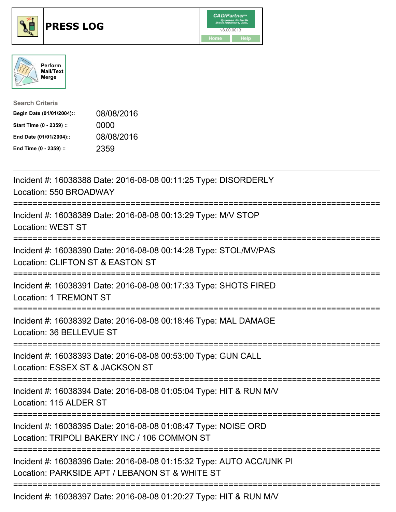





| <b>Search Criteria</b>    |            |
|---------------------------|------------|
| Begin Date (01/01/2004):: | 08/08/2016 |
| Start Time (0 - 2359) ::  | 0000       |
| End Date (01/01/2004)::   | 08/08/2016 |
| End Time (0 - 2359) ::    | 2359       |

| Incident #: 16038388 Date: 2016-08-08 00:11:25 Type: DISORDERLY<br>Location: 550 BROADWAY                                                            |
|------------------------------------------------------------------------------------------------------------------------------------------------------|
| Incident #: 16038389 Date: 2016-08-08 00:13:29 Type: M/V STOP<br><b>Location: WEST ST</b><br>:================                                       |
| Incident #: 16038390 Date: 2016-08-08 00:14:28 Type: STOL/MV/PAS<br>Location: CLIFTON ST & EASTON ST<br>--------                                     |
| Incident #: 16038391 Date: 2016-08-08 00:17:33 Type: SHOTS FIRED<br><b>Location: 1 TREMONT ST</b>                                                    |
| Incident #: 16038392 Date: 2016-08-08 00:18:46 Type: MAL DAMAGE<br>Location: 36 BELLEVUE ST<br>-------------------------------------                 |
| Incident #: 16038393 Date: 2016-08-08 00:53:00 Type: GUN CALL<br>Location: ESSEX ST & JACKSON ST<br>:========================                        |
| Incident #: 16038394 Date: 2016-08-08 01:05:04 Type: HIT & RUN M/V<br>Location: 115 ALDER ST                                                         |
| Incident #: 16038395 Date: 2016-08-08 01:08:47 Type: NOISE ORD<br>Location: TRIPOLI BAKERY INC / 106 COMMON ST<br>================================== |
| Incident #: 16038396 Date: 2016-08-08 01:15:32 Type: AUTO ACC/UNK PI<br>Location: PARKSIDE APT / LEBANON ST & WHITE ST                               |
| Incident #: 16038397 Date: 2016-08-08 01:20:27 Type: HIT & RUN M/V                                                                                   |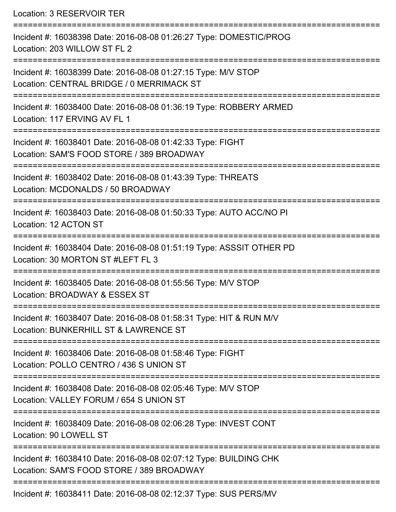Location: 3 RESERVOIR TER

=========================================================================== Incident #: 16038398 Date: 2016-08-08 01:26:27 Type: DOMESTIC/PROG Location: 203 WILLOW ST FL 2 =========================================================================== Incident #: 16038399 Date: 2016-08-08 01:27:15 Type: M/V STOP Location: CENTRAL BRIDGE / 0 MERRIMACK ST =========================================================================== Incident #: 16038400 Date: 2016-08-08 01:36:19 Type: ROBBERY ARMED Location: 117 ERVING AV FL 1 =========================================================================== Incident #: 16038401 Date: 2016-08-08 01:42:33 Type: FIGHT Location: SAM'S FOOD STORE / 389 BROADWAY =========================================================================== Incident #: 16038402 Date: 2016-08-08 01:43:39 Type: THREATS Location: MCDONALDS / 50 BROADWAY =========================================================================== Incident #: 16038403 Date: 2016-08-08 01:50:33 Type: AUTO ACC/NO PI Location: 12 ACTON ST =========================================================================== Incident #: 16038404 Date: 2016-08-08 01:51:19 Type: ASSSIT OTHER PD Location: 30 MORTON ST #LEFT FL 3 =========================================================================== Incident #: 16038405 Date: 2016-08-08 01:55:56 Type: M/V STOP Location: BROADWAY & ESSEX ST =========================================================================== Incident #: 16038407 Date: 2016-08-08 01:58:31 Type: HIT & RUN M/V Location: BUNKERHILL ST & LAWRENCE ST =========================================================================== Incident #: 16038406 Date: 2016-08-08 01:58:46 Type: FIGHT Location: POLLO CENTRO / 436 S UNION ST =========================================================================== Incident #: 16038408 Date: 2016-08-08 02:05:46 Type: M/V STOP Location: VALLEY FORUM / 654 S UNION ST =========================================================================== Incident #: 16038409 Date: 2016-08-08 02:06:28 Type: INVEST CONT Location: 90 LOWELL ST =========================================================================== Incident #: 16038410 Date: 2016-08-08 02:07:12 Type: BUILDING CHK Location: SAM'S FOOD STORE / 389 BROADWAY =========================================================================== Incident #: 16038411 Date: 2016-08-08 02:12:37 Type: SUS PERS/MV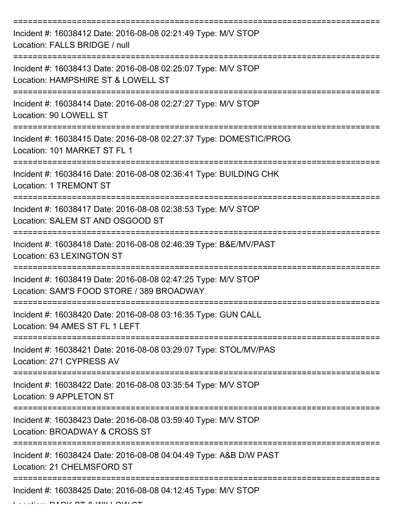| Incident #: 16038412 Date: 2016-08-08 02:21:49 Type: M/V STOP<br>Location: FALLS BRIDGE / null             |
|------------------------------------------------------------------------------------------------------------|
| Incident #: 16038413 Date: 2016-08-08 02:25:07 Type: M/V STOP<br>Location: HAMPSHIRE ST & LOWELL ST        |
| Incident #: 16038414 Date: 2016-08-08 02:27:27 Type: M/V STOP<br>Location: 90 LOWELL ST                    |
| Incident #: 16038415 Date: 2016-08-08 02:27:37 Type: DOMESTIC/PROG<br>Location: 101 MARKET ST FL 1         |
| Incident #: 16038416 Date: 2016-08-08 02:36:41 Type: BUILDING CHK<br><b>Location: 1 TREMONT ST</b>         |
| Incident #: 16038417 Date: 2016-08-08 02:38:53 Type: M/V STOP<br>Location: SALEM ST AND OSGOOD ST          |
| Incident #: 16038418 Date: 2016-08-08 02:46:39 Type: B&E/MV/PAST<br>Location: 63 LEXINGTON ST              |
| Incident #: 16038419 Date: 2016-08-08 02:47:25 Type: M/V STOP<br>Location: SAM'S FOOD STORE / 389 BROADWAY |
| Incident #: 16038420 Date: 2016-08-08 03:16:35 Type: GUN CALL<br>Location: 94 AMES ST FL 1 LEFT            |
| Incident #: 16038421 Date: 2016-08-08 03:29:07 Type: STOL/MV/PAS<br>Location: 271 CYPRESS AV               |
| Incident #: 16038422 Date: 2016-08-08 03:35:54 Type: M/V STOP<br>Location: 9 APPLETON ST                   |
| Incident #: 16038423 Date: 2016-08-08 03:59:40 Type: M/V STOP<br>Location: BROADWAY & CROSS ST             |
| Incident #: 16038424 Date: 2016-08-08 04:04:49 Type: A&B D/W PAST<br>Location: 21 CHELMSFORD ST            |
| Incident #: 16038425 Date: 2016-08-08 04:12:45 Type: M/V STOP                                              |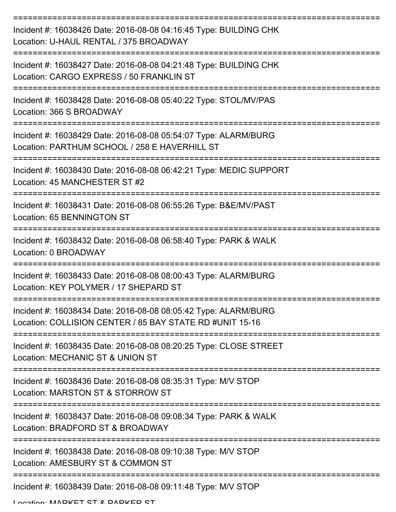| Incident #: 16038426 Date: 2016-08-08 04:16:45 Type: BUILDING CHK<br>Location: U-HAUL RENTAL / 375 BROADWAY                   |
|-------------------------------------------------------------------------------------------------------------------------------|
| Incident #: 16038427 Date: 2016-08-08 04:21:48 Type: BUILDING CHK<br>Location: CARGO EXPRESS / 50 FRANKLIN ST                 |
| Incident #: 16038428 Date: 2016-08-08 05:40:22 Type: STOL/MV/PAS<br>Location: 366 S BROADWAY                                  |
| Incident #: 16038429 Date: 2016-08-08 05:54:07 Type: ALARM/BURG<br>Location: PARTHUM SCHOOL / 258 E HAVERHILL ST              |
| Incident #: 16038430 Date: 2016-08-08 06:42:21 Type: MEDIC SUPPORT<br>Location: 45 MANCHESTER ST #2<br>--------------         |
| ================<br>Incident #: 16038431 Date: 2016-08-08 06:55:26 Type: B&E/MV/PAST<br>Location: 65 BENNINGTON ST            |
| Incident #: 16038432 Date: 2016-08-08 06:58:40 Type: PARK & WALK<br>Location: 0 BROADWAY                                      |
| =================<br>Incident #: 16038433 Date: 2016-08-08 08:00:43 Type: ALARM/BURG<br>Location: KEY POLYMER / 17 SHEPARD ST |
| Incident #: 16038434 Date: 2016-08-08 08:05:42 Type: ALARM/BURG<br>Location: COLLISION CENTER / 85 BAY STATE RD #UNIT 15-16   |
| Incident #: 16038435 Date: 2016-08-08 08:20:25 Type: CLOSE STREET<br>Location: MECHANIC ST & UNION ST                         |
| Incident #: 16038436 Date: 2016-08-08 08:35:31 Type: M/V STOP<br>Location: MARSTON ST & STORROW ST                            |
| Incident #: 16038437 Date: 2016-08-08 09:08:34 Type: PARK & WALK<br>Location: BRADFORD ST & BROADWAY                          |
| Incident #: 16038438 Date: 2016-08-08 09:10:38 Type: M/V STOP<br>Location: AMESBURY ST & COMMON ST                            |
| Incident #: 16038439 Date: 2016-08-08 09:11:48 Type: M/V STOP<br>I occion: MADKET CT & DADKED CT                              |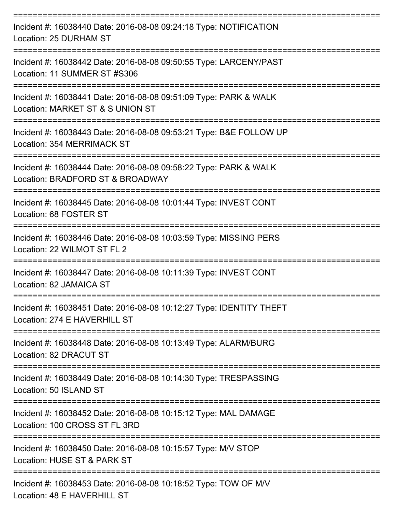| Incident #: 16038440 Date: 2016-08-08 09:24:18 Type: NOTIFICATION<br>Location: 25 DURHAM ST                                           |
|---------------------------------------------------------------------------------------------------------------------------------------|
| Incident #: 16038442 Date: 2016-08-08 09:50:55 Type: LARCENY/PAST<br>Location: 11 SUMMER ST #S306                                     |
| Incident #: 16038441 Date: 2016-08-08 09:51:09 Type: PARK & WALK<br>Location: MARKET ST & S UNION ST<br>==========                    |
| Incident #: 16038443 Date: 2016-08-08 09:53:21 Type: B&E FOLLOW UP<br>Location: 354 MERRIMACK ST                                      |
| ,,,,,,,,,,,,,,,,,,,<br>Incident #: 16038444 Date: 2016-08-08 09:58:22 Type: PARK & WALK<br>Location: BRADFORD ST & BROADWAY           |
| Incident #: 16038445 Date: 2016-08-08 10:01:44 Type: INVEST CONT<br>Location: 68 FOSTER ST                                            |
| =================================<br>Incident #: 16038446 Date: 2016-08-08 10:03:59 Type: MISSING PERS<br>Location: 22 WILMOT ST FL 2 |
| Incident #: 16038447 Date: 2016-08-08 10:11:39 Type: INVEST CONT<br>Location: 82 JAMAICA ST                                           |
| Incident #: 16038451 Date: 2016-08-08 10:12:27 Type: IDENTITY THEFT<br>Location: 274 E HAVERHILL ST                                   |
| Incident #: 16038448 Date: 2016-08-08 10:13:49 Type: ALARM/BURG<br>Location: 82 DRACUT ST                                             |
| Incident #: 16038449 Date: 2016-08-08 10:14:30 Type: TRESPASSING<br>Location: 50 ISLAND ST                                            |
| Incident #: 16038452 Date: 2016-08-08 10:15:12 Type: MAL DAMAGE<br>Location: 100 CROSS ST FL 3RD                                      |
| Incident #: 16038450 Date: 2016-08-08 10:15:57 Type: M/V STOP<br>Location: HUSE ST & PARK ST                                          |
| Incident #: 16038453 Date: 2016-08-08 10:18:52 Type: TOW OF M/V<br>Location: 48 E HAVERHILL ST                                        |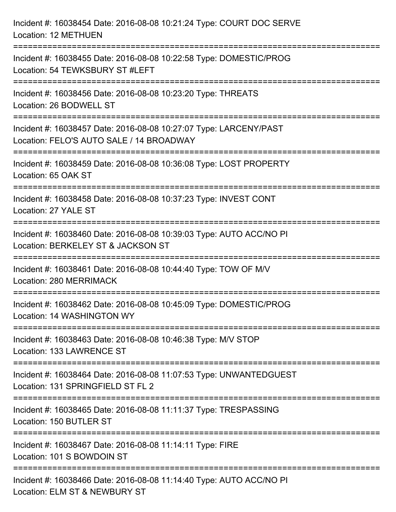| Incident #: 16038454 Date: 2016-08-08 10:21:24 Type: COURT DOC SERVE<br><b>Location: 12 METHUEN</b>                        |
|----------------------------------------------------------------------------------------------------------------------------|
| Incident #: 16038455 Date: 2016-08-08 10:22:58 Type: DOMESTIC/PROG<br>Location: 54 TEWKSBURY ST #LEFT                      |
| Incident #: 16038456 Date: 2016-08-08 10:23:20 Type: THREATS<br>Location: 26 BODWELL ST                                    |
| Incident #: 16038457 Date: 2016-08-08 10:27:07 Type: LARCENY/PAST<br>Location: FELO'S AUTO SALE / 14 BROADWAY              |
| Incident #: 16038459 Date: 2016-08-08 10:36:08 Type: LOST PROPERTY<br>Location: 65 OAK ST<br>:======================       |
| Incident #: 16038458 Date: 2016-08-08 10:37:23 Type: INVEST CONT<br>Location: 27 YALE ST                                   |
| Incident #: 16038460 Date: 2016-08-08 10:39:03 Type: AUTO ACC/NO PI<br>Location: BERKELEY ST & JACKSON ST                  |
| Incident #: 16038461 Date: 2016-08-08 10:44:40 Type: TOW OF M/V<br>Location: 280 MERRIMACK                                 |
| Incident #: 16038462 Date: 2016-08-08 10:45:09 Type: DOMESTIC/PROG<br>Location: 14 WASHINGTON WY                           |
| Incident #: 16038463 Date: 2016-08-08 10:46:38 Type: M/V STOP<br>Location: 133 LAWRENCE ST                                 |
| Incident #: 16038464 Date: 2016-08-08 11:07:53 Type: UNWANTEDGUEST<br>Location: 131 SPRINGFIELD ST FL 2                    |
| Incident #: 16038465 Date: 2016-08-08 11:11:37 Type: TRESPASSING<br>Location: 150 BUTLER ST                                |
| ===============================<br>Incident #: 16038467 Date: 2016-08-08 11:14:11 Type: FIRE<br>Location: 101 S BOWDOIN ST |
| Incident #: 16038466 Date: 2016-08-08 11:14:40 Type: AUTO ACC/NO PI<br>Location: ELM ST & NEWBURY ST                       |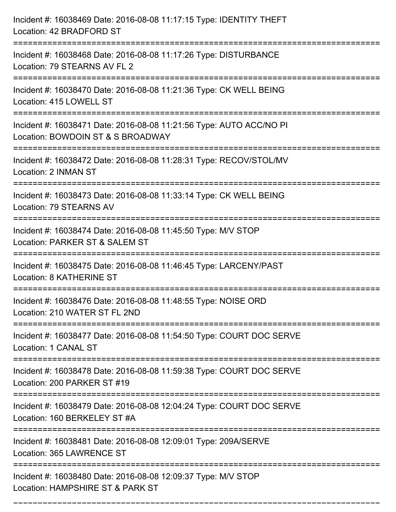| Incident #: 16038469 Date: 2016-08-08 11:17:15 Type: IDENTITY THEFT<br>Location: 42 BRADFORD ST                                   |
|-----------------------------------------------------------------------------------------------------------------------------------|
| Incident #: 16038468 Date: 2016-08-08 11:17:26 Type: DISTURBANCE<br>Location: 79 STEARNS AV FL 2                                  |
| Incident #: 16038470 Date: 2016-08-08 11:21:36 Type: CK WELL BEING<br>Location: 415 LOWELL ST<br>:=============================== |
| Incident #: 16038471 Date: 2016-08-08 11:21:56 Type: AUTO ACC/NO PI<br>Location: BOWDOIN ST & S BROADWAY                          |
| Incident #: 16038472 Date: 2016-08-08 11:28:31 Type: RECOV/STOL/MV<br>Location: 2 INMAN ST                                        |
| Incident #: 16038473 Date: 2016-08-08 11:33:14 Type: CK WELL BEING<br>Location: 79 STEARNS AV                                     |
| Incident #: 16038474 Date: 2016-08-08 11:45:50 Type: M/V STOP<br>Location: PARKER ST & SALEM ST                                   |
| Incident #: 16038475 Date: 2016-08-08 11:46:45 Type: LARCENY/PAST<br><b>Location: 8 KATHERINE ST</b>                              |
| Incident #: 16038476 Date: 2016-08-08 11:48:55 Type: NOISE ORD<br>Location: 210 WATER ST FL 2ND                                   |
| Incident #: 16038477 Date: 2016-08-08 11:54:50 Type: COURT DOC SERVE<br>Location: 1 CANAL ST                                      |
| Incident #: 16038478 Date: 2016-08-08 11:59:38 Type: COURT DOC SERVE<br>Location: 200 PARKER ST #19                               |
| Incident #: 16038479 Date: 2016-08-08 12:04:24 Type: COURT DOC SERVE<br>Location: 160 BERKELEY ST #A                              |
| Incident #: 16038481 Date: 2016-08-08 12:09:01 Type: 209A/SERVE<br>Location: 365 LAWRENCE ST                                      |
| Incident #: 16038480 Date: 2016-08-08 12:09:37 Type: M/V STOP<br>Location: HAMPSHIRE ST & PARK ST                                 |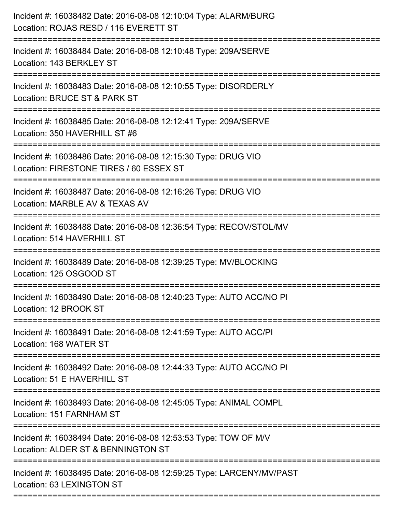| Incident #: 16038482 Date: 2016-08-08 12:10:04 Type: ALARM/BURG<br>Location: ROJAS RESD / 116 EVERETT ST<br>------------------------ |
|--------------------------------------------------------------------------------------------------------------------------------------|
| Incident #: 16038484 Date: 2016-08-08 12:10:48 Type: 209A/SERVE<br>Location: 143 BERKLEY ST                                          |
| Incident #: 16038483 Date: 2016-08-08 12:10:55 Type: DISORDERLY<br>Location: BRUCE ST & PARK ST<br>:===========================      |
| Incident #: 16038485 Date: 2016-08-08 12:12:41 Type: 209A/SERVE<br>Location: 350 HAVERHILL ST #6                                     |
| Incident #: 16038486 Date: 2016-08-08 12:15:30 Type: DRUG VIO<br>Location: FIRESTONE TIRES / 60 ESSEX ST<br>======================   |
| Incident #: 16038487 Date: 2016-08-08 12:16:26 Type: DRUG VIO<br>Location: MARBLE AV & TEXAS AV                                      |
| Incident #: 16038488 Date: 2016-08-08 12:36:54 Type: RECOV/STOL/MV<br>Location: 514 HAVERHILL ST                                     |
| Incident #: 16038489 Date: 2016-08-08 12:39:25 Type: MV/BLOCKING<br>Location: 125 OSGOOD ST                                          |
| Incident #: 16038490 Date: 2016-08-08 12:40:23 Type: AUTO ACC/NO PI<br>Location: 12 BROOK ST<br>====================                 |
| Incident #: 16038491 Date: 2016-08-08 12:41:59 Type: AUTO ACC/PI<br>Location: 168 WATER ST<br>-------------------------------        |
| Incident #: 16038492 Date: 2016-08-08 12:44:33 Type: AUTO ACC/NO PI<br>Location: 51 E HAVERHILL ST                                   |
| Incident #: 16038493 Date: 2016-08-08 12:45:05 Type: ANIMAL COMPL<br>Location: 151 FARNHAM ST                                        |
| Incident #: 16038494 Date: 2016-08-08 12:53:53 Type: TOW OF M/V<br>Location: ALDER ST & BENNINGTON ST                                |
| Incident #: 16038495 Date: 2016-08-08 12:59:25 Type: LARCENY/MV/PAST<br>Location: 63 LEXINGTON ST                                    |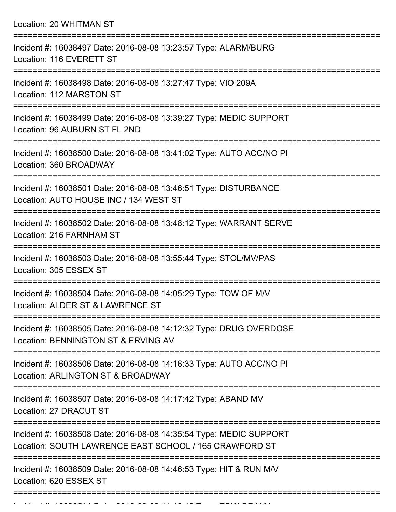Location: 20 WHITMAN ST

| Incident #: 16038497 Date: 2016-08-08 13:23:57 Type: ALARM/BURG<br>Location: 116 EVERETT ST                                           |
|---------------------------------------------------------------------------------------------------------------------------------------|
| Incident #: 16038498 Date: 2016-08-08 13:27:47 Type: VIO 209A<br>Location: 112 MARSTON ST                                             |
| Incident #: 16038499 Date: 2016-08-08 13:39:27 Type: MEDIC SUPPORT<br>Location: 96 AUBURN ST FL 2ND                                   |
| Incident #: 16038500 Date: 2016-08-08 13:41:02 Type: AUTO ACC/NO PI<br>Location: 360 BROADWAY                                         |
| Incident #: 16038501 Date: 2016-08-08 13:46:51 Type: DISTURBANCE<br>Location: AUTO HOUSE INC / 134 WEST ST<br>======================= |
| Incident #: 16038502 Date: 2016-08-08 13:48:12 Type: WARRANT SERVE<br>Location: 216 FARNHAM ST                                        |
| Incident #: 16038503 Date: 2016-08-08 13:55:44 Type: STOL/MV/PAS<br>Location: 305 ESSEX ST<br>=============                           |
| Incident #: 16038504 Date: 2016-08-08 14:05:29 Type: TOW OF M/V<br>Location: ALDER ST & LAWRENCE ST                                   |
| Incident #: 16038505 Date: 2016-08-08 14:12:32 Type: DRUG OVERDOSE<br>Location: BENNINGTON ST & ERVING AV                             |
| Incident #: 16038506 Date: 2016-08-08 14:16:33 Type: AUTO ACC/NO PI<br>Location: ARLINGTON ST & BROADWAY                              |
| Incident #: 16038507 Date: 2016-08-08 14:17:42 Type: ABAND MV<br>Location: 27 DRACUT ST                                               |
| Incident #: 16038508 Date: 2016-08-08 14:35:54 Type: MEDIC SUPPORT<br>Location: SOUTH LAWRENCE EAST SCHOOL / 165 CRAWFORD ST          |
| Incident #: 16038509 Date: 2016-08-08 14:46:53 Type: HIT & RUN M/V<br>Location: 620 ESSEX ST                                          |
|                                                                                                                                       |

Incident #: 16038511 Date: 2016 08 08 14:49:13 Type: TOW OF M/V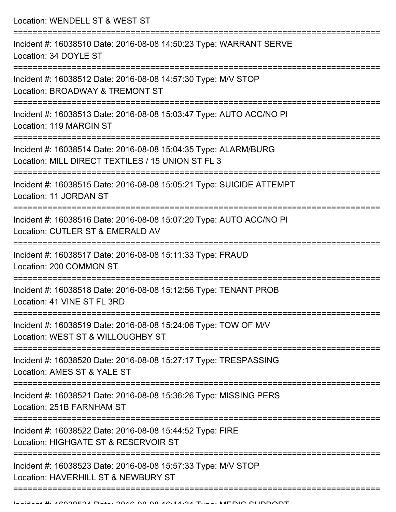Location: WENDELL ST & WEST ST =========================================================================== Incident #: 16038510 Date: 2016-08-08 14:50:23 Type: WARRANT SERVE Location: 34 DOYLE ST =========================================================================== Incident #: 16038512 Date: 2016-08-08 14:57:30 Type: M/V STOP Location: BROADWAY & TREMONT ST =========================================================================== Incident #: 16038513 Date: 2016-08-08 15:03:47 Type: AUTO ACC/NO PI Location: 119 MARGIN ST =========================================================================== Incident #: 16038514 Date: 2016-08-08 15:04:35 Type: ALARM/BURG Location: MILL DIRECT TEXTILES / 15 UNION ST FL 3 =========================================================================== Incident #: 16038515 Date: 2016-08-08 15:05:21 Type: SUICIDE ATTEMPT Location: 11 JORDAN ST =========================================================================== Incident #: 16038516 Date: 2016-08-08 15:07:20 Type: AUTO ACC/NO PI Location: CUTLER ST & EMERALD AV =========================================================================== Incident #: 16038517 Date: 2016-08-08 15:11:33 Type: FRAUD Location: 200 COMMON ST =========================================================================== Incident #: 16038518 Date: 2016-08-08 15:12:56 Type: TENANT PROB Location: 41 VINE ST FL 3RD =========================================================================== Incident #: 16038519 Date: 2016-08-08 15:24:06 Type: TOW OF M/V Location: WEST ST & WILLOUGHBY ST =========================================================================== Incident #: 16038520 Date: 2016-08-08 15:27:17 Type: TRESPASSING Location: AMES ST & YALE ST =========================================================================== Incident #: 16038521 Date: 2016-08-08 15:36:26 Type: MISSING PERS Location: 251B FARNHAM ST =========================================================================== Incident #: 16038522 Date: 2016-08-08 15:44:52 Type: FIRE Location: HIGHGATE ST & RESERVOIR ST =========================================================================== Incident #: 16038523 Date: 2016-08-08 15:57:33 Type: M/V STOP Location: HAVERHILL ST & NEWBURY ST ===========================================================================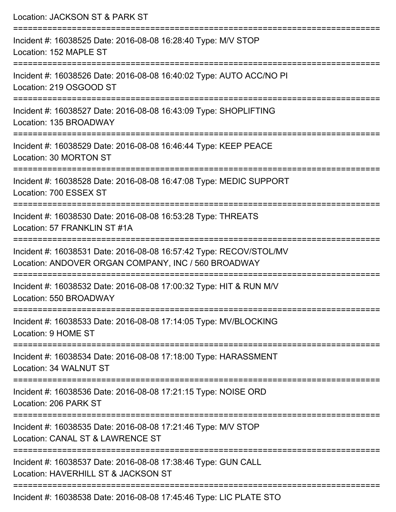| Location: JACKSON ST & PARK ST                                                                                                      |
|-------------------------------------------------------------------------------------------------------------------------------------|
| Incident #: 16038525 Date: 2016-08-08 16:28:40 Type: M/V STOP<br>Location: 152 MAPLE ST<br>:=================================       |
| Incident #: 16038526 Date: 2016-08-08 16:40:02 Type: AUTO ACC/NO PI<br>Location: 219 OSGOOD ST                                      |
| Incident #: 16038527 Date: 2016-08-08 16:43:09 Type: SHOPLIFTING<br>Location: 135 BROADWAY                                          |
| Incident #: 16038529 Date: 2016-08-08 16:46:44 Type: KEEP PEACE<br>Location: 30 MORTON ST                                           |
| Incident #: 16038528 Date: 2016-08-08 16:47:08 Type: MEDIC SUPPORT<br>Location: 700 ESSEX ST<br>-------------------------------     |
| :==================================<br>Incident #: 16038530 Date: 2016-08-08 16:53:28 Type: THREATS<br>Location: 57 FRANKLIN ST #1A |
| Incident #: 16038531 Date: 2016-08-08 16:57:42 Type: RECOV/STOL/MV<br>Location: ANDOVER ORGAN COMPANY, INC / 560 BROADWAY           |
| Incident #: 16038532 Date: 2016-08-08 17:00:32 Type: HIT & RUN M/V<br>Location: 550 BROADWAY                                        |
| Incident #: 16038533 Date: 2016-08-08 17:14:05 Type: MV/BLOCKING<br>Location: 9 HOME ST                                             |
| Incident #: 16038534 Date: 2016-08-08 17:18:00 Type: HARASSMENT<br>Location: 34 WALNUT ST                                           |
| Incident #: 16038536 Date: 2016-08-08 17:21:15 Type: NOISE ORD<br>Location: 206 PARK ST                                             |
| Incident #: 16038535 Date: 2016-08-08 17:21:46 Type: M/V STOP<br>Location: CANAL ST & LAWRENCE ST                                   |
| Incident #: 16038537 Date: 2016-08-08 17:38:46 Type: GUN CALL<br>Location: HAVERHILL ST & JACKSON ST                                |
| Incident #: 16038538 Date: 2016-08-08 17:45:46 Type: LIC PLATE STO                                                                  |

Incident #: 16038538 Date: 2016-08-08 17:45:46 Type: LIC PLATE STO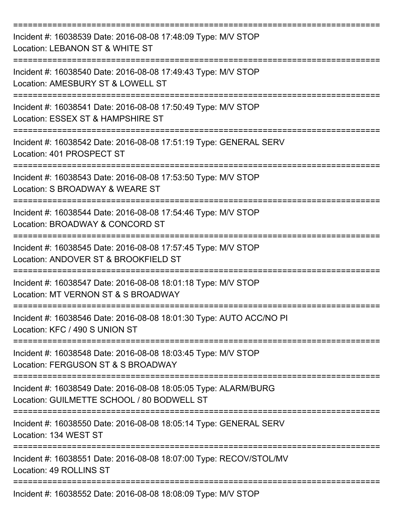| Incident #: 16038539 Date: 2016-08-08 17:48:09 Type: M/V STOP<br>Location: LEBANON ST & WHITE ST              |
|---------------------------------------------------------------------------------------------------------------|
| Incident #: 16038540 Date: 2016-08-08 17:49:43 Type: M/V STOP<br>Location: AMESBURY ST & LOWELL ST            |
| Incident #: 16038541 Date: 2016-08-08 17:50:49 Type: M/V STOP<br>Location: ESSEX ST & HAMPSHIRE ST            |
| Incident #: 16038542 Date: 2016-08-08 17:51:19 Type: GENERAL SERV<br>Location: 401 PROSPECT ST                |
| Incident #: 16038543 Date: 2016-08-08 17:53:50 Type: M/V STOP<br>Location: S BROADWAY & WEARE ST              |
| Incident #: 16038544 Date: 2016-08-08 17:54:46 Type: M/V STOP<br>Location: BROADWAY & CONCORD ST              |
| Incident #: 16038545 Date: 2016-08-08 17:57:45 Type: M/V STOP<br>Location: ANDOVER ST & BROOKFIELD ST         |
| Incident #: 16038547 Date: 2016-08-08 18:01:18 Type: M/V STOP<br>Location: MT VERNON ST & S BROADWAY          |
| Incident #: 16038546 Date: 2016-08-08 18:01:30 Type: AUTO ACC/NO PI<br>Location: KFC / 490 S UNION ST         |
| Incident #: 16038548 Date: 2016-08-08 18:03:45 Type: M/V STOP<br>Location: FERGUSON ST & S BROADWAY           |
| Incident #: 16038549 Date: 2016-08-08 18:05:05 Type: ALARM/BURG<br>Location: GUILMETTE SCHOOL / 80 BODWELL ST |
| Incident #: 16038550 Date: 2016-08-08 18:05:14 Type: GENERAL SERV<br>Location: 134 WEST ST                    |
| Incident #: 16038551 Date: 2016-08-08 18:07:00 Type: RECOV/STOL/MV<br>Location: 49 ROLLINS ST                 |
| Incident #: 16038552 Date: 2016-08-08 18:08:09 Type: M/V STOP                                                 |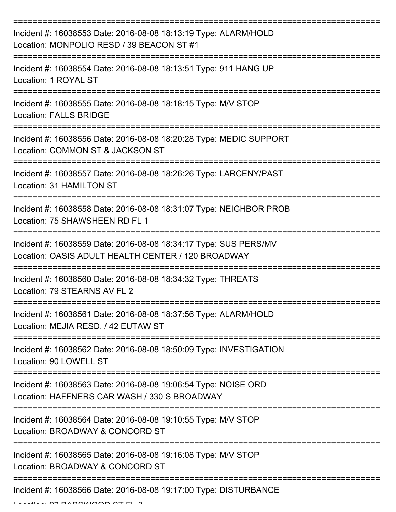| Incident #: 16038553 Date: 2016-08-08 18:13:19 Type: ALARM/HOLD<br>Location: MONPOLIO RESD / 39 BEACON ST #1           |
|------------------------------------------------------------------------------------------------------------------------|
| Incident #: 16038554 Date: 2016-08-08 18:13:51 Type: 911 HANG UP<br>Location: 1 ROYAL ST                               |
| Incident #: 16038555 Date: 2016-08-08 18:18:15 Type: M/V STOP<br><b>Location: FALLS BRIDGE</b>                         |
| Incident #: 16038556 Date: 2016-08-08 18:20:28 Type: MEDIC SUPPORT<br>Location: COMMON ST & JACKSON ST                 |
| Incident #: 16038557 Date: 2016-08-08 18:26:26 Type: LARCENY/PAST<br>Location: 31 HAMILTON ST                          |
| Incident #: 16038558 Date: 2016-08-08 18:31:07 Type: NEIGHBOR PROB<br>Location: 75 SHAWSHEEN RD FL 1                   |
| Incident #: 16038559 Date: 2016-08-08 18:34:17 Type: SUS PERS/MV<br>Location: OASIS ADULT HEALTH CENTER / 120 BROADWAY |
| Incident #: 16038560 Date: 2016-08-08 18:34:32 Type: THREATS<br>Location: 79 STEARNS AV FL 2                           |
| Incident #: 16038561 Date: 2016-08-08 18:37:56 Type: ALARM/HOLD<br>Location: MEJIA RESD. / 42 EUTAW ST                 |
| Incident #: 16038562 Date: 2016-08-08 18:50:09 Type: INVESTIGATION<br>Location: 90 LOWELL ST                           |
| Incident #: 16038563 Date: 2016-08-08 19:06:54 Type: NOISE ORD<br>Location: HAFFNERS CAR WASH / 330 S BROADWAY         |
| Incident #: 16038564 Date: 2016-08-08 19:10:55 Type: M/V STOP<br>Location: BROADWAY & CONCORD ST                       |
| Incident #: 16038565 Date: 2016-08-08 19:16:08 Type: M/V STOP<br>Location: BROADWAY & CONCORD ST                       |
| Incident #: 16038566 Date: 2016-08-08 19:17:00 Type: DISTURBANCE                                                       |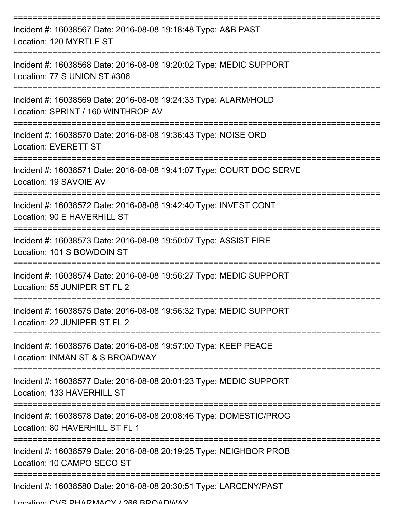| Incident #: 16038567 Date: 2016-08-08 19:18:48 Type: A&B PAST<br>Location: 120 MYRTLE ST              |
|-------------------------------------------------------------------------------------------------------|
| Incident #: 16038568 Date: 2016-08-08 19:20:02 Type: MEDIC SUPPORT<br>Location: 77 S UNION ST #306    |
| Incident #: 16038569 Date: 2016-08-08 19:24:33 Type: ALARM/HOLD<br>Location: SPRINT / 160 WINTHROP AV |
| Incident #: 16038570 Date: 2016-08-08 19:36:43 Type: NOISE ORD<br><b>Location: EVERETT ST</b>         |
| Incident #: 16038571 Date: 2016-08-08 19:41:07 Type: COURT DOC SERVE<br>Location: 19 SAVOIE AV        |
| Incident #: 16038572 Date: 2016-08-08 19:42:40 Type: INVEST CONT<br>Location: 90 E HAVERHILL ST       |
| Incident #: 16038573 Date: 2016-08-08 19:50:07 Type: ASSIST FIRE<br>Location: 101 S BOWDOIN ST        |
| Incident #: 16038574 Date: 2016-08-08 19:56:27 Type: MEDIC SUPPORT<br>Location: 55 JUNIPER ST FL 2    |
| Incident #: 16038575 Date: 2016-08-08 19:56:32 Type: MEDIC SUPPORT<br>Location: 22 JUNIPER ST FL 2    |
| Incident #: 16038576 Date: 2016-08-08 19:57:00 Type: KEEP PEACE<br>Location: INMAN ST & S BROADWAY    |
| Incident #: 16038577 Date: 2016-08-08 20:01:23 Type: MEDIC SUPPORT<br>Location: 133 HAVERHILL ST      |
| Incident #: 16038578 Date: 2016-08-08 20:08:46 Type: DOMESTIC/PROG<br>Location: 80 HAVERHILL ST FL 1  |
| Incident #: 16038579 Date: 2016-08-08 20:19:25 Type: NEIGHBOR PROB<br>Location: 10 CAMPO SECO ST      |
| Incident #: 16038580 Date: 2016-08-08 20:30:51 Type: LARCENY/PAST                                     |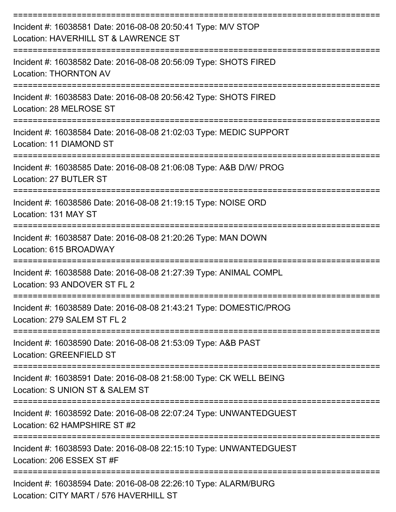| Incident #: 16038581 Date: 2016-08-08 20:50:41 Type: M/V STOP<br>Location: HAVERHILL ST & LAWRENCE ST                           |
|---------------------------------------------------------------------------------------------------------------------------------|
| Incident #: 16038582 Date: 2016-08-08 20:56:09 Type: SHOTS FIRED<br><b>Location: THORNTON AV</b>                                |
| Incident #: 16038583 Date: 2016-08-08 20:56:42 Type: SHOTS FIRED<br>Location: 28 MELROSE ST                                     |
| Incident #: 16038584 Date: 2016-08-08 21:02:03 Type: MEDIC SUPPORT<br>Location: 11 DIAMOND ST                                   |
| Incident #: 16038585 Date: 2016-08-08 21:06:08 Type: A&B D/W/ PROG<br>Location: 27 BUTLER ST                                    |
| Incident #: 16038586 Date: 2016-08-08 21:19:15 Type: NOISE ORD<br>Location: 131 MAY ST                                          |
| Incident #: 16038587 Date: 2016-08-08 21:20:26 Type: MAN DOWN<br>Location: 615 BROADWAY                                         |
| Incident #: 16038588 Date: 2016-08-08 21:27:39 Type: ANIMAL COMPL<br>Location: 93 ANDOVER ST FL 2                               |
| Incident #: 16038589 Date: 2016-08-08 21:43:21 Type: DOMESTIC/PROG<br>Location: 279 SALEM ST FL 2<br>-------------------------- |
| Incident #: 16038590 Date: 2016-08-08 21:53:09 Type: A&B PAST<br>Location: GREENFIELD ST                                        |
| Incident #: 16038591 Date: 2016-08-08 21:58:00 Type: CK WELL BEING<br>Location: S UNION ST & SALEM ST                           |
| Incident #: 16038592 Date: 2016-08-08 22:07:24 Type: UNWANTEDGUEST<br>Location: 62 HAMPSHIRE ST #2                              |
| Incident #: 16038593 Date: 2016-08-08 22:15:10 Type: UNWANTEDGUEST<br>Location: 206 ESSEX ST #F                                 |
| Incident #: 16038594 Date: 2016-08-08 22:26:10 Type: ALARM/BURG<br>Location: CITY MART / 576 HAVERHILL ST                       |